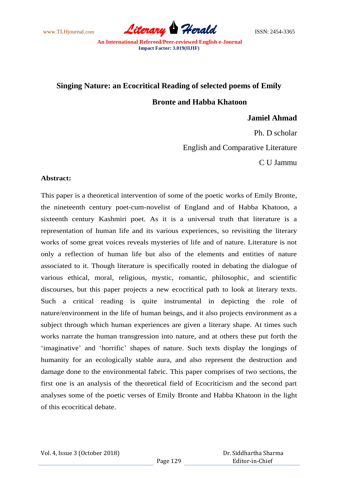www.TLHjournal.com *Literary Herald*ISSN: 2454-3365

# **Singing Nature: an Ecocritical Reading of selected poems of Emily**

**Bronte and Habba Khatoon**

**Jamiel Ahmad**

Ph. D scholar English and Comparative Literature C U Jammu

### **Abstract:**

This paper is a theoretical intervention of some of the poetic works of Emily Bronte, the nineteenth century poet-cum-novelist of England and of Habba Khatoon, a sixteenth century Kashmiri poet. As it is a universal truth that literature is a representation of human life and its various experiences, so revisiting the literary works of some great voices reveals mysteries of life and of nature. Literature is not only a reflection of human life but also of the elements and entities of nature associated to it. Though literature is specifically rooted in debating the dialogue of various ethical, moral, religious, mystic, romantic, philosophic, and scientific discourses, but this paper projects a new ecocritical path to look at literary texts. Such a critical reading is quite instrumental in depicting the role of nature/environment in the life of human beings, and it also projects environment as a subject through which human experiences are given a literary shape. At times such works narrate the human transgression into nature, and at others these put forth the ‗imaginative' and ‗horrific' shapes of nature. Such texts display the longings of humanity for an ecologically stable aura, and also represent the destruction and damage done to the environmental fabric. This paper comprises of two sections, the first one is an analysis of the theoretical field of Ecocriticism and the second part analyses some of the poetic verses of Emily Bronte and Habba Khatoon in the light of this ecocritical debate.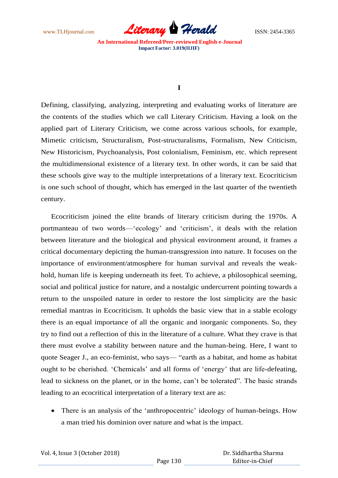www.TLHjournal.com *Literary Herald*ISSN: 2454-3365

### **I**

Defining, classifying, analyzing, interpreting and evaluating works of literature are the contents of the studies which we call Literary Criticism. Having a look on the applied part of Literary Criticism, we come across various schools, for example, Mimetic criticism, Structuralism, Post-structuralisms, Formalism, New Criticism, New Historicism, Psychoanalysis, Post colonialism, Feminism, etc. which represent the multidimensional existence of a literary text. In other words, it can be said that these schools give way to the multiple interpretations of a literary text. Ecocriticism is one such school of thought, which has emerged in the last quarter of the twentieth century.

Ecocriticism joined the elite brands of literary criticism during the 1970s. A portmanteau of two words—‗ecology' and ‗criticism', it deals with the relation between literature and the biological and physical environment around, it frames a critical documentary depicting the human-transgression into nature. It focuses on the importance of environment/atmosphere for human survival and reveals the weakhold, human life is keeping underneath its feet. To achieve, a philosophical seeming, social and political justice for nature, and a nostalgic undercurrent pointing towards a return to the unspoiled nature in order to restore the lost simplicity are the basic remedial mantras in Ecocriticism. It upholds the basic view that in a stable ecology there is an equal importance of all the organic and inorganic components. So, they try to find out a reflection of this in the literature of a culture. What they crave is that there must evolve a stability between nature and the human-being. Here, I want to quote Seager J., an eco-feminist, who says— "earth as a habitat, and home as habitat ought to be cherished. 'Chemicals' and all forms of 'energy' that are life-defeating, lead to sickness on the planet, or in the home, can't be tolerated". The basic strands leading to an ecocritical interpretation of a literary text are as:

• There is an analysis of the 'anthropocentric' ideology of human-beings. How a man tried his dominion over nature and what is the impact.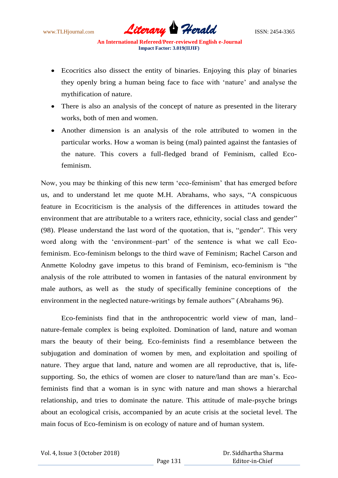www.TLHjournal.com **Literary Herald Herald** ISSN: 2454-3365

- Ecocritics also dissect the entity of binaries. Enjoying this play of binaries they openly bring a human being face to face with 'nature' and analyse the mythification of nature.
- There is also an analysis of the concept of nature as presented in the literary works, both of men and women.
- Another dimension is an analysis of the role attributed to women in the particular works. How a woman is being (mal) painted against the fantasies of the nature. This covers a full-fledged brand of Feminism, called Ecofeminism.

Now, you may be thinking of this new term ‗eco-feminism' that has emerged before us, and to understand let me quote M.H. Abrahams, who says, "A conspicuous feature in Ecocriticism is the analysis of the differences in attitudes toward the environment that are attributable to a writers race, ethnicity, social class and gender" (98). Please understand the last word of the quotation, that is, "gender". This very word along with the 'environment-part' of the sentence is what we call Ecofeminism. Eco-feminism belongs to the third wave of Feminism; Rachel Carson and Anmette Kolodny gave impetus to this brand of Feminism, eco-feminism is "the analysis of the role attributed to women in fantasies of the natural environment by male authors, as well as the study of specifically feminine conceptions of the environment in the neglected nature-writings by female authors" (Abrahams 96).

Eco-feminists find that in the anthropocentric world view of man, land– nature-female complex is being exploited. Domination of land, nature and woman mars the beauty of their being. Eco-feminists find a resemblance between the subjugation and domination of women by men, and exploitation and spoiling of nature. They argue that land, nature and women are all reproductive, that is, lifesupporting. So, the ethics of women are closer to nature/land than are man's. Ecofeminists find that a woman is in sync with nature and man shows a hierarchal relationship, and tries to dominate the nature. This attitude of male-psyche brings about an ecological crisis, accompanied by an acute crisis at the societal level. The main focus of Eco-feminism is on ecology of nature and of human system.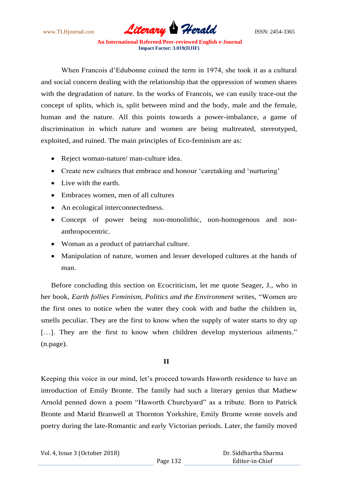www.TLHjournal.com *Literary Herald*ISSN: 2454-3365

When Francois d'Edubonne coined the term in 1974, she took it as a cultural and social concern dealing with the relationship that the oppression of women shares with the degradation of nature. In the works of Francois, we can easily trace-out the concept of splits, which is, split between mind and the body, male and the female, human and the nature. All this points towards a power-imbalance, a game of discrimination in which nature and women are being maltreated, stereotyped, exploited, and ruined. The main principles of Eco-feminism are as:

- Reject woman-nature/ man-culture idea.
- Create new cultures that embrace and honour 'caretaking and 'nurturing'
- Live with the earth.
- Embraces women, men of all cultures
- An ecological interconnectedness.
- Concept of power being non-monolithic, non-homogenous and nonanthropocentric.
- Woman as a product of patriarchal culture.
- Manipulation of nature, women and lesser developed cultures at the hands of man.

Before concluding this section on Ecocriticism, let me quote Seager, J., who in her book, *Earth follies Feminism, Politics and the Environment* writes, "Women are the first ones to notice when the water they cook with and bathe the children in, smells peculiar. They are the first to know when the supply of water starts to dry up [...]. They are the first to know when children develop mysterious ailments." (n.page).

## **II**

Keeping this voice in our mind, let's proceed towards Haworth residence to have an introduction of Emily Bronte. The family had such a literary genius that Mathew Arnold penned down a poem "Haworth Churchyard" as a tribute. Born to Patrick Bronte and Marid Branwell at Thornton Yorkshire, Emily Bronte wrote novels and poetry during the late-Romantic and early Victorian periods. Later, the family moved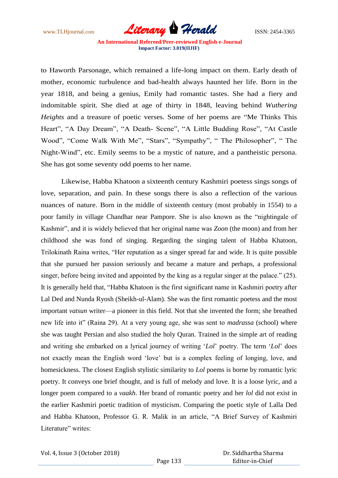www.TLHjournal.com *Literary Herald*ISSN: 2454-3365

to Haworth Parsonage, which remained a life-long impact on them. Early death of mother, economic turbulence and bad-health always haunted her life. Born in the year 1818, and being a genius, Emily had romantic tastes. She had a fiery and indomitable spirit. She died at age of thirty in 1848, leaving behind *Wuthering Heights* and a treasure of poetic verses. Some of her poems are "Me Thinks This Heart", "A Day Dream", "A Death- Scene", "A Little Budding Rose", "At Castle Wood", "Come Walk With Me", "Stars", "Sympathy", " The Philosopher", " The Night-Wind", etc. Emily seems to be a mystic of nature, and a pantheistic persona. She has got some seventy odd poems to her name.

Likewise, Habba Khatoon a sixteenth century Kashmiri poetess sings songs of love, separation, and pain. In these songs there is also a reflection of the various nuances of nature. Born in the middle of sixteenth century (most probably in 1554) to a poor family in village Chandhar near Pampore. She is also known as the "nightingale of Kashmir", and it is widely believed that her original name was *Zoon* (the moon) and from her childhood she was fond of singing. Regarding the singing talent of Habba Khatoon, Trilokinath Raina writes, "Her reputation as a singer spread far and wide. It is quite possible that she pursued her passion seriously and became a mature and perhaps, a professional singer, before being invited and appointed by the king as a regular singer at the palace." (25). It is generally held that, "Habba Khatoon is the first significant name in Kashmiri poetry after Lal Ded and Nunda Ryosh (Sheikh-ul-Alam). She was the first romantic poetess and the most important *vatsun* writer—a pioneer in this field. Not that she invented the form; she breathed new life into it" (Raina 29). At a very young age, she was sent to *madrassa* (school) where she was taught Persian and also studied the holy Quran. Trained in the simple art of reading and writing she embarked on a lyrical journey of writing 'Lol' poetry. The term 'Lol' does not exactly mean the English word 'love' but is a complex feeling of longing, love, and homesickness. The closest English stylistic similarity to *Lol* poems is borne by romantic lyric poetry. It conveys one brief thought, and is full of melody and love. It is a loose lyric, and a longer poem compared to a *vaakh*. Her brand of romantic poetry and her *lol* did not exist in the earlier Kashmiri poetic tradition of mysticism. Comparing the poetic style of Lalla Ded and Habba Khatoon, Professor G. R. Malik in an article, "A Brief Survey of Kashmiri Literature" writes:

 Dr. Siddhartha Sharma Editor-in-Chief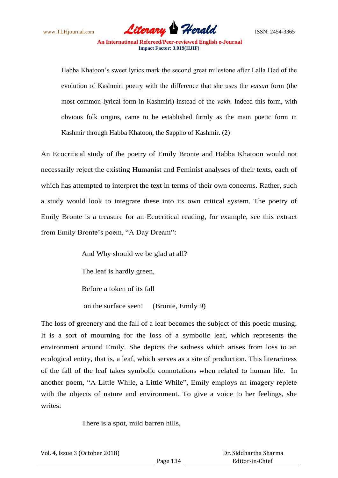www.TLHjournal.com *Literary Herald*ISSN: 2454-3365

Habba Khatoon's sweet lyrics mark the second great milestone after Lalla Ded of the evolution of Kashmiri poetry with the difference that she uses the *vatsun* form (the most common lyrical form in Kashmiri) instead of the *vakh*. Indeed this form, with obvious folk origins, came to be established firmly as the main poetic form in Kashmir through Habba Khatoon, the Sappho of Kashmir. (2)

An Ecocritical study of the poetry of Emily Bronte and Habba Khatoon would not necessarily reject the existing Humanist and Feminist analyses of their texts, each of which has attempted to interpret the text in terms of their own concerns. Rather, such a study would look to integrate these into its own critical system. The poetry of Emily Bronte is a treasure for an Ecocritical reading, for example, see this extract from Emily Bronte's poem, "A Day Dream":

> And Why should we be glad at all? The leaf is hardly green, Before a token of its fall on the surface seen! (Bronte, Emily 9)

The loss of greenery and the fall of a leaf becomes the subject of this poetic musing. It is a sort of mourning for the loss of a symbolic leaf, which represents the environment around Emily. She depicts the sadness which arises from loss to an ecological entity, that is, a leaf, which serves as a site of production. This literariness of the fall of the leaf takes symbolic connotations when related to human life. In another poem, "A Little While, a Little While", Emily employs an imagery replete with the objects of nature and environment. To give a voice to her feelings, she writes:

There is a spot, mild barren hills,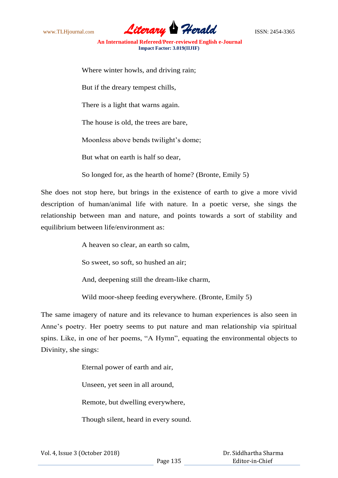www.TLHjournal.com **Literary Herald Herald** ISSN: 2454-3365

Where winter howls, and driving rain;

But if the dreary tempest chills,

There is a light that warns again.

The house is old, the trees are bare,

Moonless above bends twilight's dome;

But what on earth is half so dear,

So longed for, as the hearth of home? (Bronte, Emily 5)

She does not stop here, but brings in the existence of earth to give a more vivid description of human/animal life with nature. In a poetic verse, she sings the relationship between man and nature, and points towards a sort of stability and equilibrium between life/environment as:

A heaven so clear, an earth so calm,

So sweet, so soft, so hushed an air;

And, deepening still the dream-like charm,

Wild moor-sheep feeding everywhere. (Bronte, Emily 5)

The same imagery of nature and its relevance to human experiences is also seen in Anne's poetry. Her poetry seems to put nature and man relationship via spiritual spins. Like, in one of her poems, "A Hymn", equating the environmental objects to Divinity, she sings:

Eternal power of earth and air,

Unseen, yet seen in all around,

Remote, but dwelling everywhere,

Though silent, heard in every sound.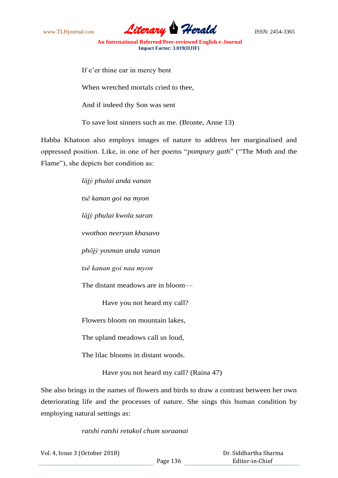www.TLHjournal.com **Literary Herald Herald** ISSN: 2454-3365

If e'er thine ear in mercy bent

When wretched mortals cried to thee.

And if indeed thy Son was sent

To save lost sinners such as me. (Bronte, Anne 13)

Habba Khatoon also employs images of nature to address her marginalised and oppressed position. Like, in one of her poems "*pompury gath*" ("The Moth and the Flame"), she depicts her condition as:

> *lăjỳ phulai anda vanan tsĕ kanan goi na myon lăjỳ phulai kwola saran vwothoo neeryan khasavo phŏjỳ yosman anda vanan tsĕ kanan goi naa myon* The distant meadows are in bloom— Have you not heard my call?

Flowers bloom on mountain lakes,

The upland meadows call us loud,

The lilac blooms in distant woods.

Have you not heard my call? (Raina 47)

She also brings in the names of flowers and birds to draw a contrast between her own deteriorating life and the processes of nature. She sings this human condition by employing natural settings as:

*ratshi ratshi retakol chum soraanai*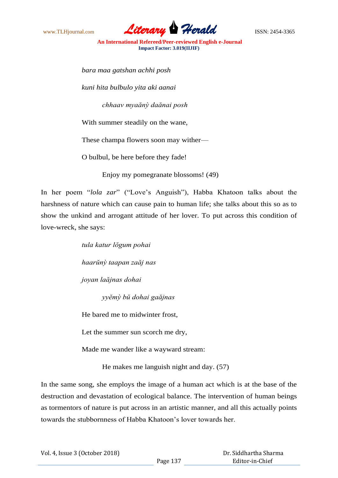

*bara maa gatshan achhi posh*

*kuni hita bulbulo yita aki aanai*

*chhaav myaănỳ daănai posh*

With summer steadily on the wane,

These champa flowers soon may wither—

O bulbul, be here before they fade!

Enjoy my pomegranate blossoms! (49)

In her poem "*lola zar*" ("Love's Anguish"), Habba Khatoon talks about the harshness of nature which can cause pain to human life; she talks about this so as to show the unkind and arrogant attitude of her lover. To put across this condition of love-wreck, she says:

> *tula katur lŏgum pohai haarŭnỳ taapan zaăj nas joyan laăjnas dohai yyĕmỳ bŭ dohai gaăjnas*

He bared me to midwinter frost,

Let the summer sun scorch me dry,

Made me wander like a wayward stream:

He makes me languish night and day. (57)

In the same song, she employs the image of a human act which is at the base of the destruction and devastation of ecological balance. The intervention of human beings as tormentors of nature is put across in an artistic manner, and all this actually points towards the stubbornness of Habba Khatoon's lover towards her.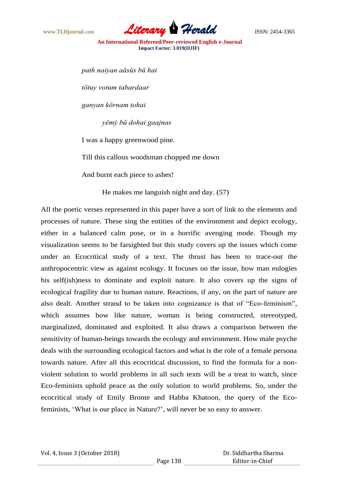

*path naiyan aăsŭs bŭ hai tŏtuy votum tabardaar ganyan kŏrnam tohai yĕmỳ bŭ dohai gaajnas* I was a happy greenwood pine. Till this callous woodsman chopped me down

And burnt each piece to ashes!

He makes me languish night and day. (57)

All the poetic verses represented in this paper have a sort of link to the elements and processes of nature. These sing the entities of the environment and depict ecology, either in a balanced calm pose, or in a horrific avenging mode. Though my visualization seems to be farsighted but this study covers up the issues which come under an Ecocritical study of a text. The thrust has been to trace-out the anthropocentric view as against ecology. It focuses on the issue, how man eulogies his self(ish)ness to dominate and exploit nature. It also covers up the signs of ecological fragility due to human nature. Reactions, if any, on the part of nature are also dealt. Another strand to be taken into cognizance is that of "Eco-feminism", which assumes how like nature, woman is being constructed, stereotyped, marginalized, dominated and exploited. It also draws a comparison between the sensitivity of human-beings towards the ecology and environment. How male psyche deals with the surrounding ecological factors and what is the role of a female persona towards nature. After all this ecocritical discussion, to find the formula for a nonviolent solution to world problems in all such texts will be a treat to watch, since Eco-feminists uphold peace as the only solution to world problems. So, under the ecocritical study of Emily Bronte and Habba Khatoon, the query of the Ecofeminists, ‗What is our place in Nature?', will never be so easy to answer.